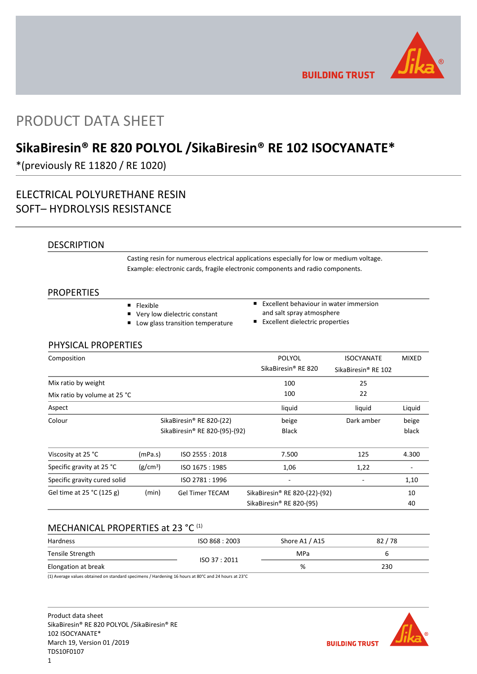

**BUILDING TRUST** 

# PRODUCT DATA SHEET

# **SikaBiresin® RE 820 POLYOL /SikaBiresin® RE 102 ISOCYANATE\***

\*(previously RE 11820 / RE 1020)

# ELECTRICAL POLYURETHANE RESIN SOFT– HYDROLYSIS RESISTANCE

## DESCRIPTION

Casting resin for numerous electrical applications especially for low or medium voltage. Example: electronic cards, fragile electronic components and radio components.

### PROPERTIES

- **Flexible**
- Very low dielectric constant
- **Low glass transition temperature**
- **EXCELLENT behaviour in water immersion** and salt spray atmosphere
- **Excellent dielectric properties**

## PHYSICAL PROPERTIES

| Composition                  |                          |                               | <b>POLYOL</b>                             | <b>ISOCYANATE</b>               | <b>MIXED</b> |
|------------------------------|--------------------------|-------------------------------|-------------------------------------------|---------------------------------|--------------|
|                              |                          |                               | SikaBiresin <sup>®</sup> RE 820           | SikaBiresin <sup>®</sup> RE 102 |              |
| Mix ratio by weight          |                          |                               | 100                                       | 25                              |              |
| Mix ratio by volume at 25 °C |                          |                               | 100                                       | 22                              |              |
| Aspect                       |                          |                               | liquid                                    | liquid                          | Liquid       |
| Colour                       | SikaBiresin® RE 820-(22) |                               | beige                                     | Dark amber                      | beige        |
|                              |                          | SikaBiresin® RE 820-(95)-(92) | <b>Black</b>                              |                                 | black        |
| Viscosity at 25 °C           | (mPa.s)                  | ISO 2555: 2018                | 7.500                                     | 125                             | 4.300        |
| Specific gravity at 25 °C    | (g/cm <sup>3</sup> )     | ISO 1675: 1985                | 1,06                                      | 1,22                            |              |
| Specific gravity cured solid |                          | ISO 2781 : 1996               | ۰                                         |                                 | 1,10         |
| Gel time at $25 °C$ (125 g)  | (min)                    | <b>Gel Timer TECAM</b>        | SikaBiresin <sup>®</sup> RE 820-(22)-(92) |                                 | 10           |
|                              |                          |                               | SikaBiresin® RE 820-(95)                  |                                 | 40           |

## MECHANICAL PROPERTIES at 23 °C (1)

| Hardness            | ISO 868: 2003 | Shore A1 / A15 | 82/78 |
|---------------------|---------------|----------------|-------|
| Tensile Strength    |               | MPa            |       |
| Elongation at break | ISO 37:2011   | %              | 230   |

(1) Average values obtained on standard specimens / Hardening 16 hours at 80°C and 24 hours at 23°C

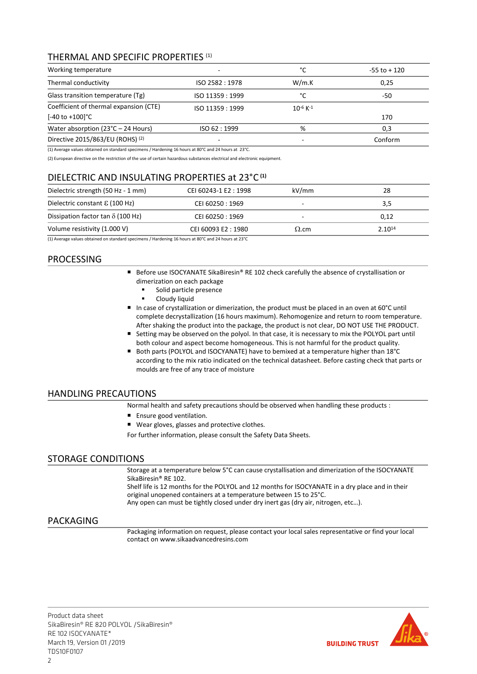## THERMAL AND SPECIFIC PROPERTIES (1)

| Working temperature                                                   | °C               | $-55$ to $+120$           |         |
|-----------------------------------------------------------------------|------------------|---------------------------|---------|
| Thermal conductivity                                                  | ISO 2582 : 1978  | W/m.K                     | 0,25    |
| Glass transition temperature (Tg)                                     | ISO 11359 : 1999 | °C                        | -50     |
| Coefficient of thermal expansion (CTE)<br>$[-40 \text{ to } +100]$ °C | ISO 11359 : 1999 | $10^{-6}$ K <sup>-1</sup> | 170     |
| Water absorption $(23^{\circ}C - 24$ Hours)                           | ISO 62:1999      | %                         | 0,3     |
| Directive 2015/863/EU (ROHS) <sup>(2)</sup>                           |                  |                           | Conform |

(1) Average values obtained on standard specimens / Hardening 16 hours at 80°C and 24 hours at 23°C.

(2) European directive on the restriction of the use of certain hazardous substances electrical and electronic equipment.

## DIELECTRIC AND INSULATING PROPERTIES at 23°C **(1)**

| Dielectric strength (50 Hz - 1 mm)       | CEI 60243-1 E2: 1998 | kV/mm        | 28          |
|------------------------------------------|----------------------|--------------|-------------|
| Dielectric constant $\epsilon$ (100 Hz)  | CEI 60250 : 1969     |              | 3,5         |
| Dissipation factor tan $\delta$ (100 Hz) | CEI 60250 : 1969     |              | 0.12        |
| Volume resistivity (1.000 V)             | CEI 60093 E2: 1980   | $\Omega$ .cm | $2.10^{14}$ |

(1) Average values obtained on standard specimens / Hardening 16 hours at 80°C and 24 hours at 23°C

## PROCESSING

- Before use ISOCYANATE SikaBiresin® RE 102 check carefully the absence of crystallisation or dimerization on each package
	- Solid particle presence
	- **-** Cloudy liquid
- In case of crystallization or dimerization, the product must be placed in an oven at 60°C until complete decrystallization (16 hours maximum). Rehomogenize and return to room temperature. After shaking the product into the package, the product is not clear, DO NOT USE THE PRODUCT.
- Setting may be observed on the polyol. In that case, it is necessary to mix the POLYOL part until both colour and aspect become homogeneous. This is not harmful for the product quality.
- Both parts (POLYOL and ISOCYANATE) have to bemixed at a temperature higher than 18°C according to the mix ratio indicated on the technical datasheet. Before casting check that parts or moulds are free of any trace of moisture

## HANDLING PRECAUTIONS

Normal health and safety precautions should be observed when handling these products :

- **Ensure good ventilation.**
- Wear gloves, glasses and protective clothes.

For further information, please consult the Safety Data Sheets.

## STORAGE CONDITIONS

Storage at a temperature below 5°C can cause crystallisation and dimerization of the ISOCYANATE SikaBiresin® RE 102.

Shelf life is 12 months for the POLYOL and 12 months for ISOCYANATE in a dry place and in their original unopened containers at a temperature between 15 to 25°C.

Any open can must be tightly closed under dry inert gas (dry air, nitrogen, etc…).

## PACKAGING

Packaging information on request, please contact your local sales representative or find your local contact on www.sikaadvancedresins.com

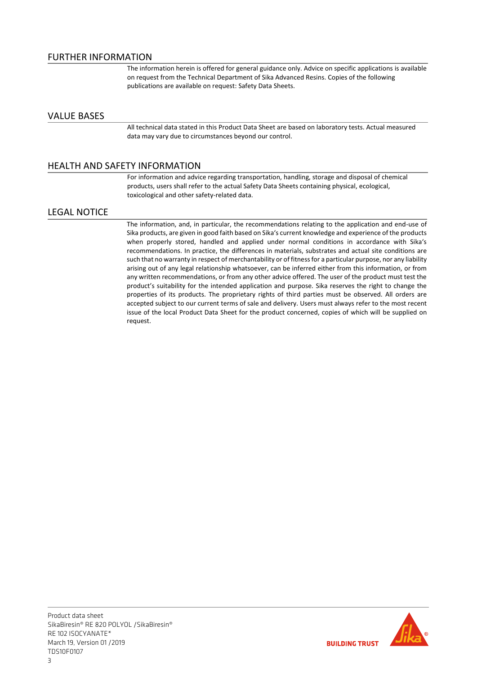The information herein is offered for general guidance only. Advice on specific applications is available on request from the Technical Department of Sika Advanced Resins. Copies of the following publications are available on request: Safety Data Sheets.

## VALUE BASES

All technical data stated in this Product Data Sheet are based on laboratory tests. Actual measured data may vary due to circumstances beyond our control.

## HEALTH AND SAFETY INFORMATION

For information and advice regarding transportation, handling, storage and disposal of chemical products, users shall refer to the actual Safety Data Sheets containing physical, ecological, toxicological and other safety-related data.

### LEGAL NOTICE

The information, and, in particular, the recommendations relating to the application and end-use of Sika products, are given in good faith based on Sika's current knowledge and experience of the products when properly stored, handled and applied under normal conditions in accordance with Sika's recommendations. In practice, the differences in materials, substrates and actual site conditions are such that no warranty in respect of merchantability or of fitness for a particular purpose, nor any liability arising out of any legal relationship whatsoever, can be inferred either from this information, or from any written recommendations, or from any other advice offered. The user of the product must test the product's suitability for the intended application and purpose. Sika reserves the right to change the properties of its products. The proprietary rights of third parties must be observed. All orders are accepted subject to our current terms of sale and delivery. Users must always refer to the most recent issue of the local Product Data Sheet for the product concerned, copies of which will be supplied on request.